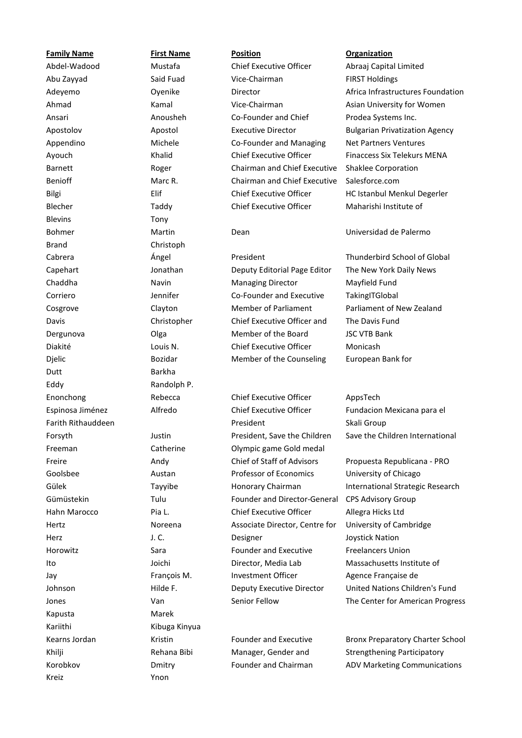**Family Name First Name Position Organization** Blevins **Example 2018** Tony Management of the United States of the United States of the United States of the United States of the United States of the United States of the United States of the United States of the United S Brand Christoph Dutt Barkha Reconstruction and Development and Development and Development and Development and Development and D Eddy Randolph P. Kapusta Marek Kariithi Kibuga Kinyua Kreiz Ynon

Abdel-Wadood Mustafa Chief Executive Officer Abraaj Capital Limited Abu Zayyad Said Fuad Vice-Chairman FIRST Holdings Ahmad Kamal Vice-Chairman Asian University for Women Ansari **Anousheh Co-Founder and Chief** Co-Foundational Chief Executive Director Apostolov **Apostol** Apostol **Executive Director** Bulgarian Privatization Agency Appendino Michele Co-Founder and Managing Chief Executive Officer Ayouch **Khalid** Khalid Chief Executive Officer Finaccess Six Telekurs MENA Barnett Roger Chairman and Chief Executive Benioff **Chairman and Chief Executive** Marc R. Chairman and Chief Executive **Chief Executive Officer** Bilgi Elif Chief Executive Officer HC Istanbul Menkul Degerler Blecher Taddy Chief Executive Officer Maharishi Institute of

# Cabrera Ángel President Thunderbird School of Global Capehart Jonathan Deputy Editorial Page Editor The New York Daily News Chaddha Navin Managing Director Mayfield Fund Corriero Jennifer Co-Founder and Executive **Member of Parliament** Cosgrove **Cayton** Clayton Member of Parliament Parliament of New Zealand Davis Christopher Chief Executive Officer and Portfolio Manager Dergunova Olga Member of the Board JSC VTB Bank Diakité Louis N. Chief Executive Officer Monicash Djelic Bozidar Bozidar Member of the Counseling

Enonchong Rebecca Chief Executive Officer AppsTech Espinosa Jiménez Alfredo Chief Executive Officer Fundacion Mexicana para el Farith Rithauddeen **President** President President Skali Group Forsyth Justin Justin President, Save the Children Freeman Catherine Catherine Dlympic game Gold medal Freire **Andy Andy Chief of Staff of Advisors** Propuesta Republicana - PRO Goolsbee **Austan** Professor of Economics University of Chicago Coolsbee Gümüstekin Tulu Founder and Director-General CPS Advisory Group Hahn Marocco **Pia L.** Chief Executive Officer Allegra Hicks Ltd Hertz **Noreena** Associate Director, Centre for Designer Herz J. C. Designer Joystick Nation Horowitz Sara Sara Founder and Executive Director. Media Lab Ito Joichi Director, Media Lab Massachusetts Institute of Jay **François M.** Investment Officer Agence Française de

Kearns Jordan **Kristin Kristin** Founder and Executive Khilji **Rehana Bibi** Manager, Gender and Founder and Chairman

Adeyemo **Contrastructures Foundation** Director **Contrastructures Foundation** Africa Infrastructures Foundation Prodea Systems Inc. Net Partners Ventures Shaklee Corporation Salesforce.com

Bohmer Martin Dean Universidad de Palermo

**TakingITGlobal** The Davis Fund European Bank for

Save the Children International

Gülek Tayyibe Honorary Chairman International Strategic Research University of Cambridge Freelancers Union Johnson Hilde F. Deputy Executive Director United Nations Children's Fund Jones **Van** Van Senior Fellow The Center for American Progress

Bronx Preparatory Charter School Strengthening Participatory Korobkov **Dmitry Definition** Founder and Chairman ADV Marketing Communications